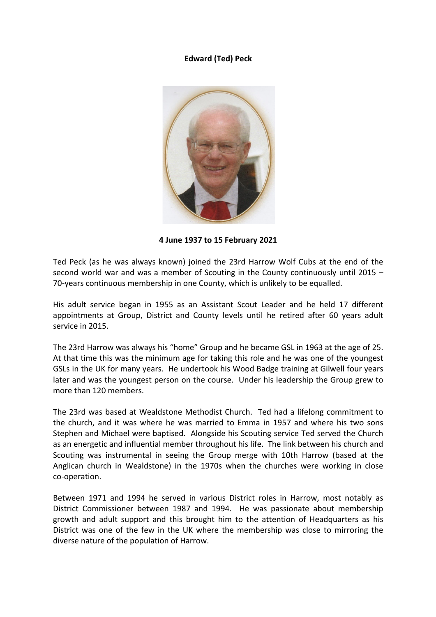## **Edward (Ted) Peck**



**4 June 1937 to 15 February 2021**

Ted Peck (as he was always known) joined the 23rd Harrow Wolf Cubs at the end of the second world war and was a member of Scouting in the County continuously until 2015 – 70-years continuous membership in one County, which is unlikely to be equalled.

His adult service began in 1955 as an Assistant Scout Leader and he held 17 different appointments at Group, District and County levels until he retired after 60 years adult service in 2015.

The 23rd Harrow was always his "home" Group and he became GSL in 1963 at the age of 25. At that time this was the minimum age for taking this role and he was one of the youngest GSLs in the UK for many years. He undertook his Wood Badge training at Gilwell four years later and was the youngest person on the course. Under his leadership the Group grew to more than 120 members.

The 23rd was based at Wealdstone Methodist Church. Ted had a lifelong commitment to the church, and it was where he was married to Emma in 1957 and where his two sons Stephen and Michael were baptised. Alongside his Scouting service Ted served the Church as an energetic and influential member throughout his life. The link between his church and Scouting was instrumental in seeing the Group merge with 10th Harrow (based at the Anglican church in Wealdstone) in the 1970s when the churches were working in close co-operation.

Between 1971 and 1994 he served in various District roles in Harrow, most notably as District Commissioner between 1987 and 1994. He was passionate about membership growth and adult support and this brought him to the attention of Headquarters as his District was one of the few in the UK where the membership was close to mirroring the diverse nature of the population of Harrow.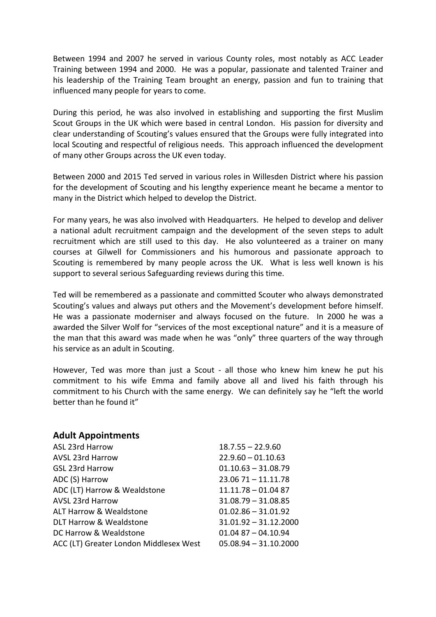Between 1994 and 2007 he served in various County roles, most notably as ACC Leader Training between 1994 and 2000. He was a popular, passionate and talented Trainer and his leadership of the Training Team brought an energy, passion and fun to training that influenced many people for years to come.

During this period, he was also involved in establishing and supporting the first Muslim Scout Groups in the UK which were based in central London. His passion for diversity and clear understanding of Scouting's values ensured that the Groups were fully integrated into local Scouting and respectful of religious needs. This approach influenced the development of many other Groups across the UK even today.

Between 2000 and 2015 Ted served in various roles in Willesden District where his passion for the development of Scouting and his lengthy experience meant he became a mentor to many in the District which helped to develop the District.

For many years, he was also involved with Headquarters. He helped to develop and deliver a national adult recruitment campaign and the development of the seven steps to adult recruitment which are still used to this day. He also volunteered as a trainer on many courses at Gilwell for Commissioners and his humorous and passionate approach to Scouting is remembered by many people across the UK. What is less well known is his support to several serious Safeguarding reviews during this time.

Ted will be remembered as a passionate and committed Scouter who always demonstrated Scouting's values and always put others and the Movement's development before himself. He was a passionate moderniser and always focused on the future. In 2000 he was a awarded the Silver Wolf for "services of the most exceptional nature" and it is a measure of the man that this award was made when he was "only" three quarters of the way through his service as an adult in Scouting.

However, Ted was more than just a Scout - all those who knew him knew he put his commitment to his wife Emma and family above all and lived his faith through his commitment to his Church with the same energy. We can definitely say he "left the world better than he found it"

## **Adult Appointments**

| ASL 23rd Harrow                        | $18.7.55 - 22.9.60$     |
|----------------------------------------|-------------------------|
| <b>AVSL 23rd Harrow</b>                | $22.9.60 - 01.10.63$    |
| <b>GSL 23rd Harrow</b>                 | $01.10.63 - 31.08.79$   |
| ADC (S) Harrow                         | $23.0671 - 11.11.78$    |
| ADC (LT) Harrow & Wealdstone           | $11.11.78 - 01.0487$    |
| <b>AVSL 23rd Harrow</b>                | $31.08.79 - 31.08.85$   |
| ALT Harrow & Wealdstone                | $01.02.86 - 31.01.92$   |
| DLT Harrow & Wealdstone                | $31.01.92 - 31.12.2000$ |
| DC Harrow & Wealdstone                 | $01.0487 - 04.10.94$    |
| ACC (LT) Greater London Middlesex West | $05.08.94 - 31.10.2000$ |